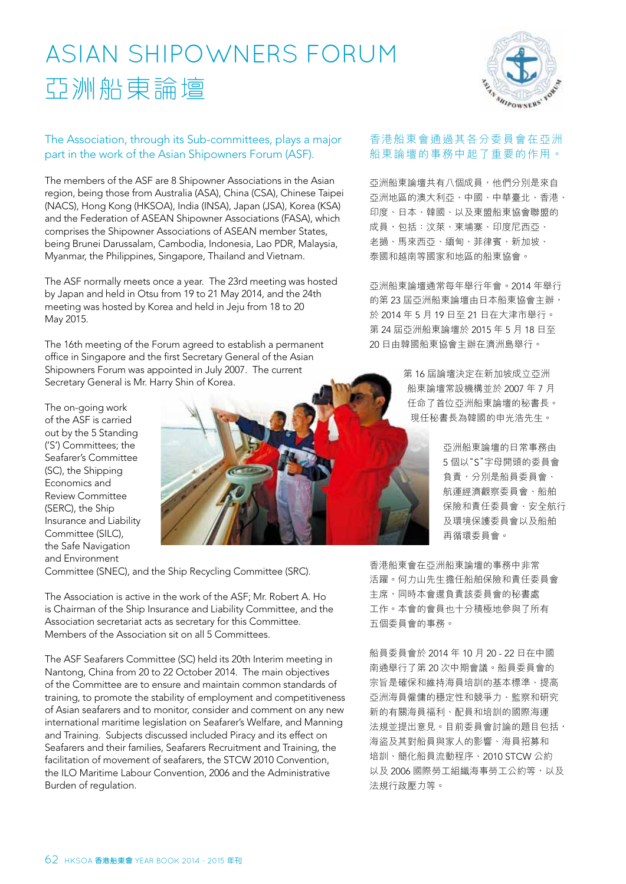## ASIAn ShIPownerS forum 亞洲船東論壇



## The Association, through its Sub-committees, plays a major part in the work of the Asian Shipowners Forum (ASF).

The members of the ASF are 8 Shipowner Associations in the Asian region, being those from Australia (ASA), China (CSA), Chinese Taipei (NACS), Hong Kong (HKSOA), India (INSA), Japan (JSA), Korea (KSA) and the Federation of ASEAN Shipowner Associations (FASA), which comprises the Shipowner Associations of ASEAN member States, being Brunei Darussalam, Cambodia, Indonesia, Lao PDR, Malaysia, Myanmar, the Philippines, Singapore, Thailand and Vietnam.

The ASF normally meets once a year. The 23rd meeting was hosted by Japan and held in Otsu from 19 to 21 May 2014, and the 24th meeting was hosted by Korea and held in Jeju from 18 to 20 May 2015.

The 16th meeting of the Forum agreed to establish a permanent office in Singapore and the first Secretary General of the Asian Shipowners Forum was appointed in July 2007. The current Secretary General is Mr. Harry Shin of Korea.

The on-going work of the ASF is carried out by the 5 Standing ('S') Committees; the Seafarer's Committee (SC), the Shipping Economics and Review Committee (SERC), the Ship Insurance and Liability Committee (SILC), the Safe Navigation and Environment



Committee (SNEC), and the Ship Recycling Committee (SRC).

The Association is active in the work of the ASF; Mr. Robert A. Ho is Chairman of the Ship Insurance and Liability Committee, and the Association secretariat acts as secretary for this Committee. Members of the Association sit on all 5 Committees.

The ASF Seafarers Committee (SC) held its 20th Interim meeting in Nantong, China from 20 to 22 October 2014. The main objectives of the Committee are to ensure and maintain common standards of training, to promote the stability of employment and competitiveness of Asian seafarers and to monitor, consider and comment on any new international maritime legislation on Seafarer's Welfare, and Manning and Training. Subjects discussed included Piracy and its effect on Seafarers and their families, Seafarers Recruitment and Training, the facilitation of movement of seafarers, the STCW 2010 Convention, the ILO Maritime Labour Convention, 2006 and the Administrative Burden of regulation.

## 香港船東會通過其各分委員會在亞洲 船東論壇的事務中起了重要的作用。

亞洲船東論壇共有八個成員,他們分別是來自 亞洲地區的澳大利亞、中國、中華臺北、香港、 印度、日本、韓國、以及東盟船東協會聯盟的 成員,包括:汶萊、柬埔寨、印度尼西亞、 老撾、馬來西亞、緬甸、菲律賓、新加坡、 泰國和越南等國家和地區的船東協會。

亞洲船東論壇通常每年舉行年會。2014 年舉行 的第 23 屆亞洲船東論壇由日本船東協會主辦, 於 2014 年 5 月 19 日至 21 日在大津市舉行。 第 24 屆亞洲船東論壇於 2015 年 5 月 18 日至 20 日由韓國船東協會主辦在濟洲島舉行。

> 第 16 屆論壇決定在新加坡成立亞洲 船東論壇常設機構並於 2007 年 7 月 任命了首位亞洲船東論壇的秘書長。 現任秘書長為韓國的申光浩先生。

> > 亞洲船東論壇的日常事務由 5 個以"S"字母開頭的委員會 負責,分別是船員委員會、 航運經濟觀察委員會、船舶 保險和責任委員會、安全航行 及環境保護委員會以及船舶 再循環委員會。

香港船東會在亞洲船東論壇的事務中非常 活躍。何力山先生擔任船舶保險和責任委員會 主席,同時本會還負責該委員會的秘書處 工作。本會的會員也十分積極地參與了所有 五個委員會的事務。

船員委員會於 2014 年 10 月 20 - 22 日在中國 南通舉行了第 20 次中期會議。船員委員會的 宗旨是確保和維持海員培訓的基本標準、提高 亞洲海員僱傭的穩定性和競爭力、監察和研究 新的有關海員福利、配員和培訓的國際海運 法規並提出意見。目前委員會討論的題目包括, 海盜及其對船員與家人的影響、海員招募和 培訓、簡化船員流動程序、2010 STCW 公約 以及 2006 國際勞工組織海事勞工公約等,以及 法規行政壓力等。